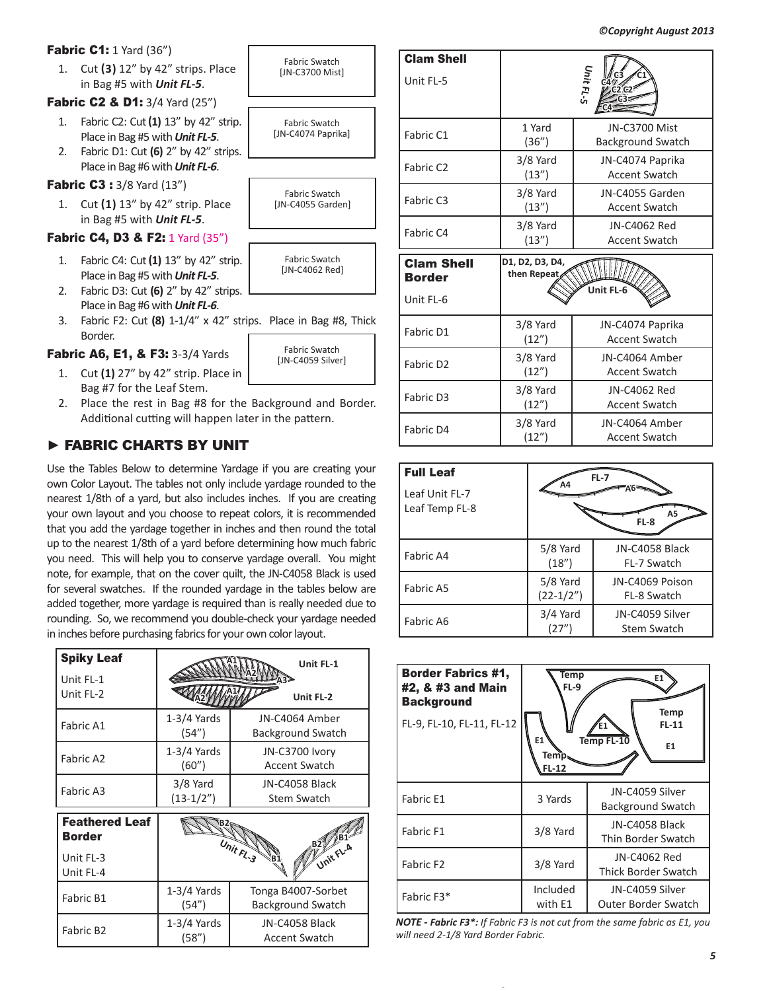**Fabric C1:** 1 Yard (36")

1. Cut **(3)** 12" by 42" strips. Place in Bag #5 with *Unit FL-5*.

**Fabric C2 & D1:** 3/4 Yard (25")

- 1. Fabric C2: Cut**(1)** 13" by 42" strip. Place in Bag #5 with *Unit FL-5*.
- 2. Fabric D1: Cut **(6)** 2" by 42" strips. Place in Bag #6 with *Unit FL-6*.

**Fabric C3: 3/8 Yard (13")** 

1. Cut **(1)** 13" by 42" strip. Place in Bag #5 with *Unit FL-5*.

## **Fabric C4, D3 & F2:** 1 Yard (35")

- 1. Fabric C4: Cut**(1)** 13" by 42" strip. Place in Bag #5 with *Unit FL-5*.
- 2. Fabric D3: Cut **(6)** 2" by 42" strips. Place in Bag #6 with *Unit FL-6*.
- 3. Fabric F2: Cut **(8)** 1-1/4" x 42" strips. Place in Bag #8, Thick Border.

Fabric A6, E1, & F3: 3-3/4 Yards

- 1. Cut **(1)** 27" by 42" strip. Place in Bag #7 for the Leaf Stem.
- 2. Place the rest in Bag #8 for the Background and Border. Additional cutting will happen later in the pattern.

# ► FABRIC CHARTS BY UNIT

Use the Tables Below to determine Yardage if you are creating your own Color Layout. The tables not only include yardage rounded to the nearest 1/8th of a yard, but also includes inches. If you are creating your own layout and you choose to repeat colors, it is recommended that you add the yardage together in inches and then round the total up to the nearest 1/8th of a yard before determining how much fabric you need. This will help you to conserve yardage overall. You might note, for example, that on the cover quilt, the JN-C4058 Black is used for several swatches. If the rounded yardage in the tables below are added together, more yardage is required than is really needed due to rounding. So, we recommend you double-check your yardage needed in inches before purchasing fabrics for your own color layout.

| <b>Spiky Leaf</b><br>Unit FL-1                                   |                           | Unit FL-1                                  |
|------------------------------------------------------------------|---------------------------|--------------------------------------------|
| Unit FL-2                                                        |                           | Unit FL-2                                  |
| Fabric A1                                                        | $1-3/4$ Yards<br>(54")    | JN-C4064 Amber<br><b>Background Swatch</b> |
| Fabric A2                                                        | $1-3/4$ Yards<br>(60'')   | JN-C3700 Ivory<br><b>Accent Swatch</b>     |
| Fabric A3                                                        | $3/8$ Yard<br>$(13-1/2")$ | JN-C4058 Black<br>Stem Swatch              |
| <b>Feathered Leaf</b><br><b>Border</b><br>Unit FL-3<br>Unit FL-4 |                           | Unit FL-3<br>Unit FL-A                     |
| Fabric B1                                                        | $1-3/4$ Yards<br>(54")    | Tonga B4007-Sorbet<br>Background Swatch    |
| Fabric B <sub>2</sub>                                            | $1-3/4$ Yards<br>(58")    | JN-C4058 Black<br><b>Accent Swatch</b>     |



| <b>Clam Shell</b><br>Unit FL-5                  |                                                        | Unit FL-5                                        |
|-------------------------------------------------|--------------------------------------------------------|--------------------------------------------------|
| Fabric C1                                       | 1 Yard<br>(36")                                        | <b>JN-C3700 Mist</b><br><b>Background Swatch</b> |
| Fabric C <sub>2</sub>                           | $3/8$ Yard<br>(13'')                                   | JN-C4074 Paprika<br><b>Accent Swatch</b>         |
| Fabric C3                                       | 3/8 Yard<br>(13'')                                     | JN-C4055 Garden<br><b>Accent Swatch</b>          |
| Fabric C4                                       | 3/8 Yard<br>(13'')                                     | JN-C4062 Red<br>Accent Swatch                    |
| <b>Clam Shell</b><br><b>Border</b><br>Unit FL-6 | D1, D2, D3, D4,<br>then Repeat<br>Unit FL-6            |                                                  |
| Fabric D1                                       | 3/8 Yard<br>JN-C4074 Paprika<br>(12")<br>Accent Swatch |                                                  |

| Fabric D1             | 3/8 Yard<br>(12") | JN-C4074 Paprika<br><b>Accent Swatch</b> |  |
|-----------------------|-------------------|------------------------------------------|--|
| Fabric D <sub>2</sub> | 3/8 Yard<br>(12") | JN-C4064 Amber<br><b>Accent Swatch</b>   |  |
| Fabric D3             | 3/8 Yard<br>(12") | JN-C4062 Red<br><b>Accent Swatch</b>     |  |
| Fabric D4             | 3/8 Yard<br>12"   | JN-C4064 Amber<br><b>Accent Swatch</b>   |  |

| <b>Full Leaf</b><br>Leaf Unit FL-7<br>Leaf Temp FL-8 | Α4                        | $FL-7$<br>Α5<br>FL-8           |
|------------------------------------------------------|---------------------------|--------------------------------|
| Fabric A4                                            | $5/8$ Yard<br>(18")       | JN-C4058 Black<br>FL-7 Swatch  |
| Fabric A5                                            | $5/8$ Yard<br>$(22-1/2")$ | JN-C4069 Poison<br>FL-8 Swatch |
| Fabric A6                                            | $3/4$ Yard<br>(27")       | JN-C4059 Silver<br>Stem Swatch |

| <b>Border Fabrics #1,</b><br>#2, & #3 and Main<br><b>Background</b><br>FL-9, FL-10, FL-11, FL-12 | <b>Temp</b><br><b>FL-9</b><br>E1<br>Temp.<br>FL-12 | Temp<br>$FL-11$<br>Temp FL-10<br>E <sub>1</sub> |
|--------------------------------------------------------------------------------------------------|----------------------------------------------------|-------------------------------------------------|
| Fabric E1                                                                                        | 3 Yards                                            | JN-C4059 Silver<br>Background Swatch            |
| Fabric F1                                                                                        | 3/8 Yard                                           | JN-C4058 Black<br>Thin Border Swatch            |
| Fabric F <sub>2</sub>                                                                            | 3/8 Yard                                           | JN-C4062 Red<br><b>Thick Border Swatch</b>      |
| Fabric F3*                                                                                       | Included<br>with E1                                | JN-C4059 Silver<br>Outer Border Swatch          |

*NOTE - Fabric F3\*: If Fabric F3 is not cut from the same fabric as E1, you will need 2-1/8 Yard Border Fabric.*

| rips. Place in Bag #8, Th                 |
|-------------------------------------------|
| <b>Fabric Swatch</b><br>[JN-C4059 Silver] |